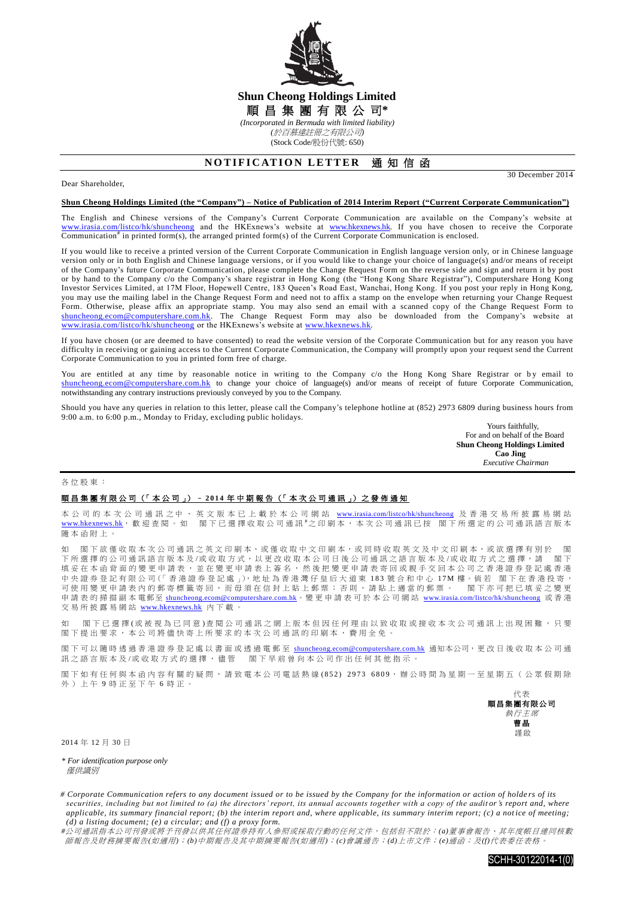

## **Shun Cheong Holdings Limited** 順 昌 集 團 有 限 公 司**\*** *(Incorporated in Bermuda with limited liability) (*於百慕達註冊之有限公司*)*

(Stock Code/股份代號: 650)

# **NOTIFICATION LETTER 通知信函**

### Dear Shareholder,

30 December 2014

#### **Shun Cheong Holdings Limited (the "Company") – Notice of Publication of 2014 Interim Report ("Current Corporate Communication")**

The English and Chinese versions of the Company's Current Corporate Communication are available on the Company's website at [www.irasia.com/listco/hk/shuncheong](http://www.irasia.com/listco/hk/shuncheong) and the HKExnews's website at [www.hkexnews.hk.](http://www.hkexnews.hk/) If you have chosen to receive the Corporate Communication<sup>#</sup> in printed form(s), the arranged printed form(s) of the Current Corporate Communication is enclosed.

If you would like to receive a printed version of the Current Corporate Communication in English language version only, or in Chinese language version only or in both English and Chinese language versions, or if you would like to change your choice of language(s) and/or means of receipt of the Company's future Corporate Communication, please complete the Change Request Form on the reverse side and sign and return it by post or by hand to the Company c/o the Company's share registrar in Hong Kong (the "Hong Kong Share Registrar"), Computershare Hong Kong Investor Services Limited, at 17M Floor, Hopewell Centre, 183 Queen's Road East, Wanchai, Hong Kong. If you post your reply in Hong Kong, you may use the mailing label in the Change Request Form and need not to affix a stamp on the envelope when returning your Change Request Form. Otherwise, please affix an appropriate stamp. You may also send an email with a scanned copy of the Change Request Form to [shuncheong.ecom@computershare.com.hk.](mailto:shuncheong.ecom@computershare.com.hk) The Change Request Form may also be downloaded from the Company's website at [www.irasia.com/listco/hk/shuncheong](http://www.irasia.com/listco/hk/shuncheong) or the HKExnews's website at www.hkexnews.hk.

If you have chosen (or are deemed to have consented) to read the website version of the Corporate Communication but for any reason you have difficulty in receiving or gaining access to the Current Corporate Communication, the Company will promptly upon your request send the Current Corporate Communication to you in printed form free of charge.

You are entitled at any time by reasonable notice in writing to the Company c/o the Hong Kong Share Registrar or by email to [shuncheong.ecom@computershare.com.hk](mailto:shuncheong.ecom@computershare.com.hk) to change your choice of language(s) and/or means of receipt of future Corporate Communication, notwithstanding any contrary instructions previously conveyed by you to the Company.

Should you have any queries in relation to this letter, please call the Company's telephone hotline at (852) 2973 6809 during business hours from 9:00 a.m. to 6:00 p.m., Monday to Friday, excluding public holidays.

> Yours faithfully, For and on behalf of the Board **Shun Cheong Holdings Limited Cao Jing**  *Executive Chairman*

#### 各位股東 :

### 順昌集團有限公司 (「 本 公 司 」) – **2 0 1 4** 年 中期報告 (「 本 次 公 司 通 訊 」) 之 發 佈 通 知

本 公 司 的 本 次 公 司 通 訊 之 中 、 英 文 版 本 已 上 載 於 本 公 司 網 站 [www.irasia.com/listco/hk/shuncheong](http://www.irasia.com/listco/hk/shuncheong) 及 香 港 交 易 所 披 露 易 網 站 [www.hkexnews.hk](http://www.hkexnews.hk/), 歡迎查閱。如 閣下已選擇收取公司通訊 #之印刷本, 本次公司通訊已按 閣下所選定的公司通訊語言版本 隨本函附上 。

閣下欲僅收取本次公司通訊之英文印刷本、或僅收取中文印刷本,或同時收取英文及中文印刷本,或欲選擇有別於 閣 下所選擇的公司通訊語言版本及/或收取方式,以更改收取本公司日後公司通訊之語言版本及/或收取方式之選擇,請 閣下 填妥在本函背面的變更申請表,並在變更申請表上簽名,然後把變更申請表寄回或親手交回本公司之香港證券登記處香港 中 央 證 券 登 記 有 限 公 司(「 香 港 證 券 登 記 處 」),地 址 為 香 港 灣 仔 皇 后 大 道 東 1 8 3 號合和中心 17M 樓。倘 若 閣 下 在 香 港 投 寄 , ,《一篇》一篇,《一篇》一卷二卷二卷》,《二篇》,二篇:"三篇》,二篇:"三篇,第二篇:"<br>可使用變更申請表內的郵寄標籤寄回,而毋須在信封上貼上郵票;否則,請貼上適當的郵票。 閣下亦可把已填妥之變更 申請表的掃描副本電郵至 [shuncheong.ecom@computershare.com.hk](mailto:shuncheong.ecom@computershare.com.hk)。變更申請表可於本公司網站 [www.irasia.com/listco/hk/shuncheong](http://www.irasia.com/listco/hk/shuncheong) 或香港 交易所披露易網站 [www.hkexnews.hk](http://www.hkexnews.hk/) 內下載。

如 閣下已 選 擇 (或 被 視 為 已 同 意 ) 查 閱 公 司 通 訊 之 網 上 版 本 但 因 任 何 理 由 以 致 收 取 或 接 收 本 次 公 司 通 訊 上 出 現 困 難 ,只 要 閣下提出要求,本公司將儘快寄上所要求的本次公司通訊的印刷本,費用全免。

閣下可以隨時透過香港證券登記處以書面或透過電郵至 [shuncheong.ecom@computershare.com.hk](mailto:shuncheong.ecom@computershare.com.hk) 通知本公司,更改日後收取本公司通 訊之語言版本及/或收取方式的選擇, 儘管 閣下早前曾向本公司作出任何其他指示。

閣下如有任何與本函內容有關的疑問,請致電本公司電話熱線(852) 2973 6809,辦公時間為星期一至星期五(公眾假期除 外)上午 9 時正至下午 6 時正。



2014 年 12 月 30 日

*\* For identification purpose only* 僅供識別

*# Corporate Communication refers to any document issued or to be issued by the Company for the information or action of holde rs of its securities, including but not limited to (a) the directors' report, its annual accounts together with a copy of the auditor's report and, where applicable, its summary financial report; (b) the interim report and, where applicable, its summary interim report; (c) a notice of meeting; (d) a listing document; (e) a circular; and (f) a proxy form.*

*#*公司通訊指本公司刊發或將予刊發以供其任何證券持有人參照或採取行動的任何文件,包括但不限於:*(a)*董事會報告、其年度帳目連同核數 師報告及財務摘要報告*(*如適用*)*;*(b)*中期報告及其中期摘要報告*(*如適用*)*;*(c)*會議通告;*(d)*上市文件;*(e)*通函;及*(f)*代表委任表格。